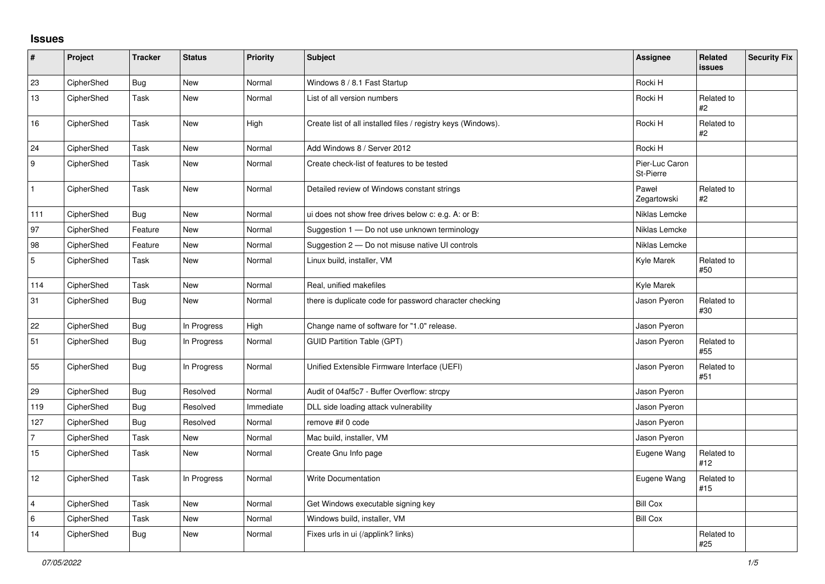## **Issues**

| $\vert$ #        | Project    | <b>Tracker</b> | <b>Status</b> | Priority  | Subject                                                       | <b>Assignee</b>             | <b>Related</b><br><b>issues</b> | <b>Security Fix</b> |
|------------------|------------|----------------|---------------|-----------|---------------------------------------------------------------|-----------------------------|---------------------------------|---------------------|
| 23               | CipherShed | <b>Bug</b>     | <b>New</b>    | Normal    | Windows 8 / 8.1 Fast Startup                                  | Rocki H                     |                                 |                     |
| 13               | CipherShed | Task           | New           | Normal    | List of all version numbers                                   | Rocki H                     | Related to<br>#2                |                     |
| 16               | CipherShed | Task           | New           | High      | Create list of all installed files / registry keys (Windows). | Rocki H                     | Related to<br>#2                |                     |
| 24               | CipherShed | Task           | <b>New</b>    | Normal    | Add Windows 8 / Server 2012                                   | Rocki H                     |                                 |                     |
| $\boldsymbol{9}$ | CipherShed | Task           | New           | Normal    | Create check-list of features to be tested                    | Pier-Luc Caron<br>St-Pierre |                                 |                     |
| $\mathbf{1}$     | CipherShed | Task           | <b>New</b>    | Normal    | Detailed review of Windows constant strings                   | Paweł<br>Zegartowski        | Related to<br>#2                |                     |
| 111              | CipherShed | <b>Bug</b>     | New           | Normal    | ui does not show free drives below c: e.g. A: or B:           | Niklas Lemcke               |                                 |                     |
| 97               | CipherShed | Feature        | New           | Normal    | Suggestion 1 - Do not use unknown terminology                 | Niklas Lemcke               |                                 |                     |
| 98               | CipherShed | Feature        | New           | Normal    | Suggestion 2 - Do not misuse native UI controls               | Niklas Lemcke               |                                 |                     |
| $\overline{5}$   | CipherShed | Task           | New           | Normal    | Linux build, installer, VM                                    | Kyle Marek                  | Related to<br>#50               |                     |
| 114              | CipherShed | Task           | New           | Normal    | Real, unified makefiles                                       | Kyle Marek                  |                                 |                     |
| 31               | CipherShed | <b>Bug</b>     | New           | Normal    | there is duplicate code for password character checking       | Jason Pyeron                | Related to<br>#30               |                     |
| 22               | CipherShed | <b>Bug</b>     | In Progress   | High      | Change name of software for "1.0" release.                    | Jason Pyeron                |                                 |                     |
| 51               | CipherShed | <b>Bug</b>     | In Progress   | Normal    | <b>GUID Partition Table (GPT)</b>                             | Jason Pyeron                | Related to<br>#55               |                     |
| 55               | CipherShed | <b>Bug</b>     | In Progress   | Normal    | Unified Extensible Firmware Interface (UEFI)                  | Jason Pyeron                | Related to<br>#51               |                     |
| 29               | CipherShed | <b>Bug</b>     | Resolved      | Normal    | Audit of 04af5c7 - Buffer Overflow: strcpy                    | Jason Pyeron                |                                 |                     |
| 119              | CipherShed | <b>Bug</b>     | Resolved      | Immediate | DLL side loading attack vulnerability                         | Jason Pyeron                |                                 |                     |
| 127              | CipherShed | <b>Bug</b>     | Resolved      | Normal    | remove #if 0 code                                             | Jason Pyeron                |                                 |                     |
| $\overline{7}$   | CipherShed | Task           | New           | Normal    | Mac build, installer, VM                                      | Jason Pyeron                |                                 |                     |
| 15               | CipherShed | Task           | <b>New</b>    | Normal    | Create Gnu Info page                                          | Eugene Wang                 | Related to<br>#12               |                     |
| 12               | CipherShed | Task           | In Progress   | Normal    | <b>Write Documentation</b>                                    | Eugene Wang                 | Related to<br>#15               |                     |
| $\overline{4}$   | CipherShed | Task           | <b>New</b>    | Normal    | Get Windows executable signing key                            | <b>Bill Cox</b>             |                                 |                     |
| $\,6\,$          | CipherShed | Task           | New           | Normal    | Windows build, installer, VM                                  | <b>Bill Cox</b>             |                                 |                     |
| 14               | CipherShed | <b>Bug</b>     | New           | Normal    | Fixes urls in ui (/applink? links)                            |                             | Related to<br>#25               |                     |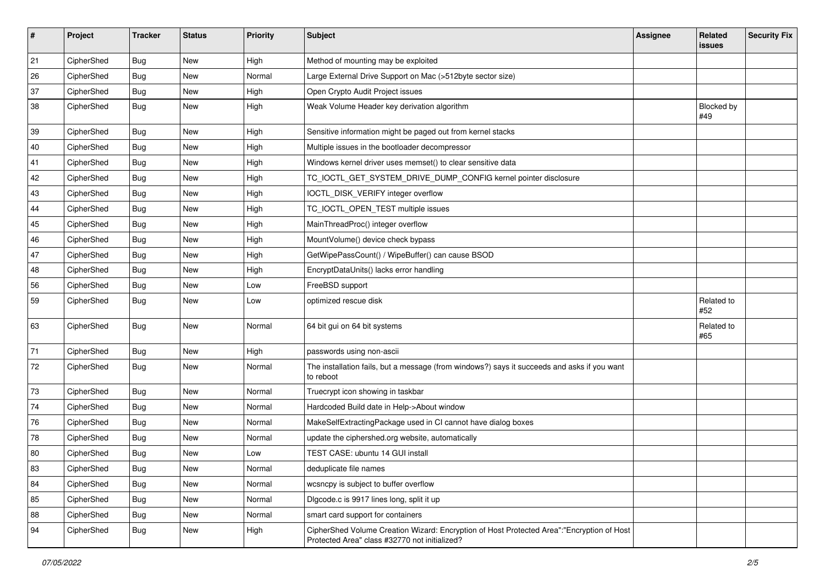| $\sharp$ | Project    | <b>Tracker</b> | <b>Status</b> | <b>Priority</b> | Subject                                                                                                                                    | <b>Assignee</b> | Related<br><b>issues</b> | <b>Security Fix</b> |
|----------|------------|----------------|---------------|-----------------|--------------------------------------------------------------------------------------------------------------------------------------------|-----------------|--------------------------|---------------------|
| 21       | CipherShed | Bug            | <b>New</b>    | High            | Method of mounting may be exploited                                                                                                        |                 |                          |                     |
| 26       | CipherShed | <b>Bug</b>     | <b>New</b>    | Normal          | Large External Drive Support on Mac (>512byte sector size)                                                                                 |                 |                          |                     |
| 37       | CipherShed | <b>Bug</b>     | New           | High            | Open Crypto Audit Project issues                                                                                                           |                 |                          |                     |
| 38       | CipherShed | Bug            | <b>New</b>    | High            | Weak Volume Header key derivation algorithm                                                                                                |                 | Blocked by<br>#49        |                     |
| 39       | CipherShed | <b>Bug</b>     | New           | High            | Sensitive information might be paged out from kernel stacks                                                                                |                 |                          |                     |
| 40       | CipherShed | <b>Bug</b>     | New           | High            | Multiple issues in the bootloader decompressor                                                                                             |                 |                          |                     |
| 41       | CipherShed | <b>Bug</b>     | New           | High            | Windows kernel driver uses memset() to clear sensitive data                                                                                |                 |                          |                     |
| 42       | CipherShed | Bug            | <b>New</b>    | High            | TC_IOCTL_GET_SYSTEM_DRIVE_DUMP_CONFIG kernel pointer disclosure                                                                            |                 |                          |                     |
| 43       | CipherShed | <b>Bug</b>     | <b>New</b>    | High            | IOCTL_DISK_VERIFY integer overflow                                                                                                         |                 |                          |                     |
| 44       | CipherShed | <b>Bug</b>     | New           | High            | TC_IOCTL_OPEN_TEST multiple issues                                                                                                         |                 |                          |                     |
| 45       | CipherShed | <b>Bug</b>     | New           | High            | MainThreadProc() integer overflow                                                                                                          |                 |                          |                     |
| 46       | CipherShed | <b>Bug</b>     | New           | High            | MountVolume() device check bypass                                                                                                          |                 |                          |                     |
| 47       | CipherShed | <b>Bug</b>     | New           | High            | GetWipePassCount() / WipeBuffer() can cause BSOD                                                                                           |                 |                          |                     |
| 48       | CipherShed | <b>Bug</b>     | New           | High            | EncryptDataUnits() lacks error handling                                                                                                    |                 |                          |                     |
| 56       | CipherShed | Bug            | New           | Low             | FreeBSD support                                                                                                                            |                 |                          |                     |
| 59       | CipherShed | <b>Bug</b>     | <b>New</b>    | Low             | optimized rescue disk                                                                                                                      |                 | Related to<br>#52        |                     |
| 63       | CipherShed | <b>Bug</b>     | New           | Normal          | 64 bit gui on 64 bit systems                                                                                                               |                 | Related to<br>#65        |                     |
| 71       | CipherShed | <b>Bug</b>     | <b>New</b>    | High            | passwords using non-ascii                                                                                                                  |                 |                          |                     |
| 72       | CipherShed | <b>Bug</b>     | New           | Normal          | The installation fails, but a message (from windows?) says it succeeds and asks if you want<br>to reboot                                   |                 |                          |                     |
| 73       | CipherShed | <b>Bug</b>     | <b>New</b>    | Normal          | Truecrypt icon showing in taskbar                                                                                                          |                 |                          |                     |
| 74       | CipherShed | Bug            | New           | Normal          | Hardcoded Build date in Help->About window                                                                                                 |                 |                          |                     |
| 76       | CipherShed | <b>Bug</b>     | New           | Normal          | MakeSelfExtractingPackage used in CI cannot have dialog boxes                                                                              |                 |                          |                     |
| 78       | CipherShed | <b>Bug</b>     | New           | Normal          | update the ciphershed.org website, automatically                                                                                           |                 |                          |                     |
| 80       | CipherShed | Bug            | New           | Low             | TEST CASE: ubuntu 14 GUI install                                                                                                           |                 |                          |                     |
| 83       | CipherShed | <b>Bug</b>     | New           | Normal          | deduplicate file names                                                                                                                     |                 |                          |                     |
| 84       | CipherShed | <b>Bug</b>     | New           | Normal          | wcsncpy is subject to buffer overflow                                                                                                      |                 |                          |                     |
| 85       | CipherShed | <b>Bug</b>     | New           | Normal          | Digcode.c is 9917 lines long, split it up                                                                                                  |                 |                          |                     |
| 88       | CipherShed | <b>Bug</b>     | New           | Normal          | smart card support for containers                                                                                                          |                 |                          |                     |
| 94       | CipherShed | <b>Bug</b>     | New           | High            | CipherShed Volume Creation Wizard: Encryption of Host Protected Area":"Encryption of Host<br>Protected Area" class #32770 not initialized? |                 |                          |                     |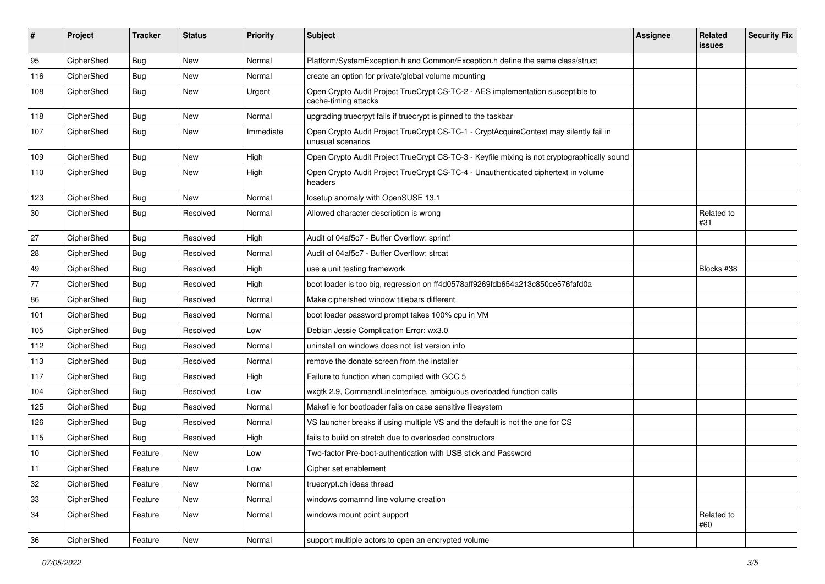| #   | Project    | <b>Tracker</b> | <b>Status</b> | <b>Priority</b> | Subject                                                                                                     | <b>Assignee</b> | Related<br><b>issues</b> | <b>Security Fix</b> |
|-----|------------|----------------|---------------|-----------------|-------------------------------------------------------------------------------------------------------------|-----------------|--------------------------|---------------------|
| 95  | CipherShed | Bug            | New           | Normal          | Platform/SystemException.h and Common/Exception.h define the same class/struct                              |                 |                          |                     |
| 116 | CipherShed | <b>Bug</b>     | New           | Normal          | create an option for private/global volume mounting                                                         |                 |                          |                     |
| 108 | CipherShed | Bug            | New           | Urgent          | Open Crypto Audit Project TrueCrypt CS-TC-2 - AES implementation susceptible to<br>cache-timing attacks     |                 |                          |                     |
| 118 | CipherShed | <b>Bug</b>     | <b>New</b>    | Normal          | upgrading truecrpyt fails if truecrypt is pinned to the taskbar                                             |                 |                          |                     |
| 107 | CipherShed | <b>Bug</b>     | New           | Immediate       | Open Crypto Audit Project TrueCrypt CS-TC-1 - CryptAcquireContext may silently fail in<br>unusual scenarios |                 |                          |                     |
| 109 | CipherShed | <b>Bug</b>     | New           | High            | Open Crypto Audit Project TrueCrypt CS-TC-3 - Keyfile mixing is not cryptographically sound                 |                 |                          |                     |
| 110 | CipherShed | <b>Bug</b>     | New           | High            | Open Crypto Audit Project TrueCrypt CS-TC-4 - Unauthenticated ciphertext in volume<br>headers               |                 |                          |                     |
| 123 | CipherShed | <b>Bug</b>     | <b>New</b>    | Normal          | losetup anomaly with OpenSUSE 13.1                                                                          |                 |                          |                     |
| 30  | CipherShed | Bug            | Resolved      | Normal          | Allowed character description is wrong                                                                      |                 | Related to<br>#31        |                     |
| 27  | CipherShed | <b>Bug</b>     | Resolved      | High            | Audit of 04af5c7 - Buffer Overflow: sprintf                                                                 |                 |                          |                     |
| 28  | CipherShed | <b>Bug</b>     | Resolved      | Normal          | Audit of 04af5c7 - Buffer Overflow: strcat                                                                  |                 |                          |                     |
| 49  | CipherShed | <b>Bug</b>     | Resolved      | High            | use a unit testing framework                                                                                |                 | Blocks #38               |                     |
| 77  | CipherShed | <b>Bug</b>     | Resolved      | High            | boot loader is too big, regression on ff4d0578aff9269fdb654a213c850ce576fafd0a                              |                 |                          |                     |
| 86  | CipherShed | <b>Bug</b>     | Resolved      | Normal          | Make ciphershed window titlebars different                                                                  |                 |                          |                     |
| 101 | CipherShed | <b>Bug</b>     | Resolved      | Normal          | boot loader password prompt takes 100% cpu in VM                                                            |                 |                          |                     |
| 105 | CipherShed | Bug            | Resolved      | Low             | Debian Jessie Complication Error: wx3.0                                                                     |                 |                          |                     |
| 112 | CipherShed | <b>Bug</b>     | Resolved      | Normal          | uninstall on windows does not list version info                                                             |                 |                          |                     |
| 113 | CipherShed | Bug            | Resolved      | Normal          | remove the donate screen from the installer                                                                 |                 |                          |                     |
| 117 | CipherShed | <b>Bug</b>     | Resolved      | High            | Failure to function when compiled with GCC 5                                                                |                 |                          |                     |
| 104 | CipherShed | <b>Bug</b>     | Resolved      | Low             | wxgtk 2.9, CommandLineInterface, ambiguous overloaded function calls                                        |                 |                          |                     |
| 125 | CipherShed | Bug            | Resolved      | Normal          | Makefile for bootloader fails on case sensitive filesystem                                                  |                 |                          |                     |
| 126 | CipherShed | <b>Bug</b>     | Resolved      | Normal          | VS launcher breaks if using multiple VS and the default is not the one for CS                               |                 |                          |                     |
| 115 | CipherShed | <b>Bug</b>     | Resolved      | High            | fails to build on stretch due to overloaded constructors                                                    |                 |                          |                     |
| 10  | CipherShed | Feature        | New           | Low             | Two-factor Pre-boot-authentication with USB stick and Password                                              |                 |                          |                     |
| 11  | CipherShed | Feature        | New           | LOW             | Cipher set enablement                                                                                       |                 |                          |                     |
| 32  | CipherShed | Feature        | New           | Normal          | truecrypt.ch ideas thread                                                                                   |                 |                          |                     |
| 33  | CipherShed | Feature        | New           | Normal          | windows comamnd line volume creation                                                                        |                 |                          |                     |
| 34  | CipherShed | Feature        | New           | Normal          | windows mount point support                                                                                 |                 | Related to<br>#60        |                     |
| 36  | CipherShed | Feature        | New           | Normal          | support multiple actors to open an encrypted volume                                                         |                 |                          |                     |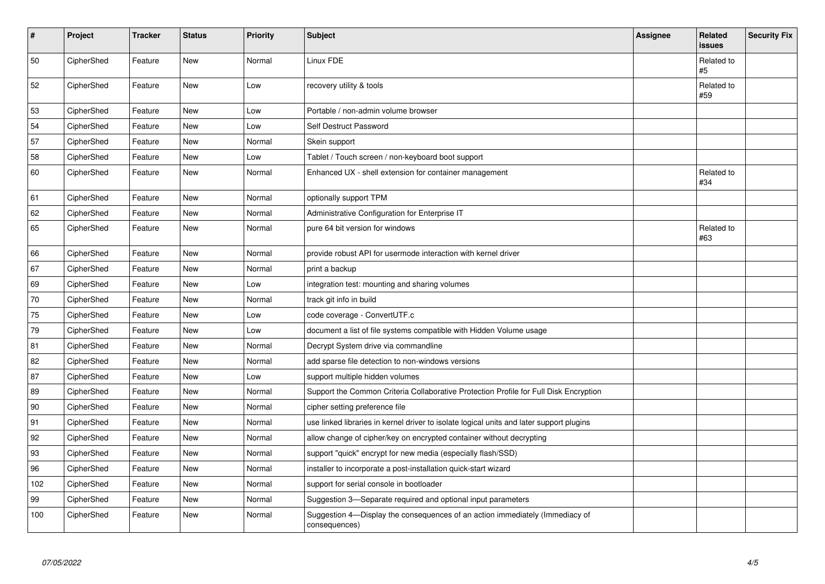| $\vert$ # | Project    | <b>Tracker</b> | <b>Status</b> | Priority | <b>Subject</b>                                                                                | <b>Assignee</b> | Related<br><b>issues</b> | <b>Security Fix</b> |
|-----------|------------|----------------|---------------|----------|-----------------------------------------------------------------------------------------------|-----------------|--------------------------|---------------------|
| 50        | CipherShed | Feature        | New           | Normal   | Linux FDE                                                                                     |                 | Related to<br>#5         |                     |
| 52        | CipherShed | Feature        | <b>New</b>    | Low      | recovery utility & tools                                                                      |                 | Related to<br>#59        |                     |
| 53        | CipherShed | Feature        | <b>New</b>    | Low      | Portable / non-admin volume browser                                                           |                 |                          |                     |
| 54        | CipherShed | Feature        | <b>New</b>    | Low      | Self Destruct Password                                                                        |                 |                          |                     |
| 57        | CipherShed | Feature        | <b>New</b>    | Normal   | Skein support                                                                                 |                 |                          |                     |
| 58        | CipherShed | Feature        | New           | Low      | Tablet / Touch screen / non-keyboard boot support                                             |                 |                          |                     |
| 60        | CipherShed | Feature        | New           | Normal   | Enhanced UX - shell extension for container management                                        |                 | Related to<br>#34        |                     |
| 61        | CipherShed | Feature        | <b>New</b>    | Normal   | optionally support TPM                                                                        |                 |                          |                     |
| 62        | CipherShed | Feature        | <b>New</b>    | Normal   | Administrative Configuration for Enterprise IT                                                |                 |                          |                     |
| 65        | CipherShed | Feature        | New           | Normal   | pure 64 bit version for windows                                                               |                 | Related to<br>#63        |                     |
| 66        | CipherShed | Feature        | New           | Normal   | provide robust API for usermode interaction with kernel driver                                |                 |                          |                     |
| 67        | CipherShed | Feature        | <b>New</b>    | Normal   | print a backup                                                                                |                 |                          |                     |
| 69        | CipherShed | Feature        | New           | Low      | integration test: mounting and sharing volumes                                                |                 |                          |                     |
| $70\,$    | CipherShed | Feature        | New           | Normal   | track git info in build                                                                       |                 |                          |                     |
| 75        | CipherShed | Feature        | New           | Low      | code coverage - ConvertUTF.c                                                                  |                 |                          |                     |
| 79        | CipherShed | Feature        | New           | Low      | document a list of file systems compatible with Hidden Volume usage                           |                 |                          |                     |
| 81        | CipherShed | Feature        | New           | Normal   | Decrypt System drive via commandline                                                          |                 |                          |                     |
| 82        | CipherShed | Feature        | <b>New</b>    | Normal   | add sparse file detection to non-windows versions                                             |                 |                          |                     |
| 87        | CipherShed | Feature        | <b>New</b>    | Low      | support multiple hidden volumes                                                               |                 |                          |                     |
| 89        | CipherShed | Feature        | <b>New</b>    | Normal   | Support the Common Criteria Collaborative Protection Profile for Full Disk Encryption         |                 |                          |                     |
| 90        | CipherShed | Feature        | <b>New</b>    | Normal   | cipher setting preference file                                                                |                 |                          |                     |
| 91        | CipherShed | Feature        | New           | Normal   | use linked libraries in kernel driver to isolate logical units and later support plugins      |                 |                          |                     |
| 92        | CipherShed | Feature        | New           | Normal   | allow change of cipher/key on encrypted container without decrypting                          |                 |                          |                     |
| 93        | CipherShed | Feature        | New           | Normal   | support "quick" encrypt for new media (especially flash/SSD)                                  |                 |                          |                     |
| 96        | CipherShed | Feature        | <b>New</b>    | Normal   | installer to incorporate a post-installation quick-start wizard                               |                 |                          |                     |
| 102       | CipherShed | Feature        | New           | Normal   | support for serial console in bootloader                                                      |                 |                          |                     |
| 99        | CipherShed | Feature        | <b>New</b>    | Normal   | Suggestion 3-Separate required and optional input parameters                                  |                 |                          |                     |
| 100       | CipherShed | Feature        | New           | Normal   | Suggestion 4-Display the consequences of an action immediately (Immediacy of<br>consequences) |                 |                          |                     |